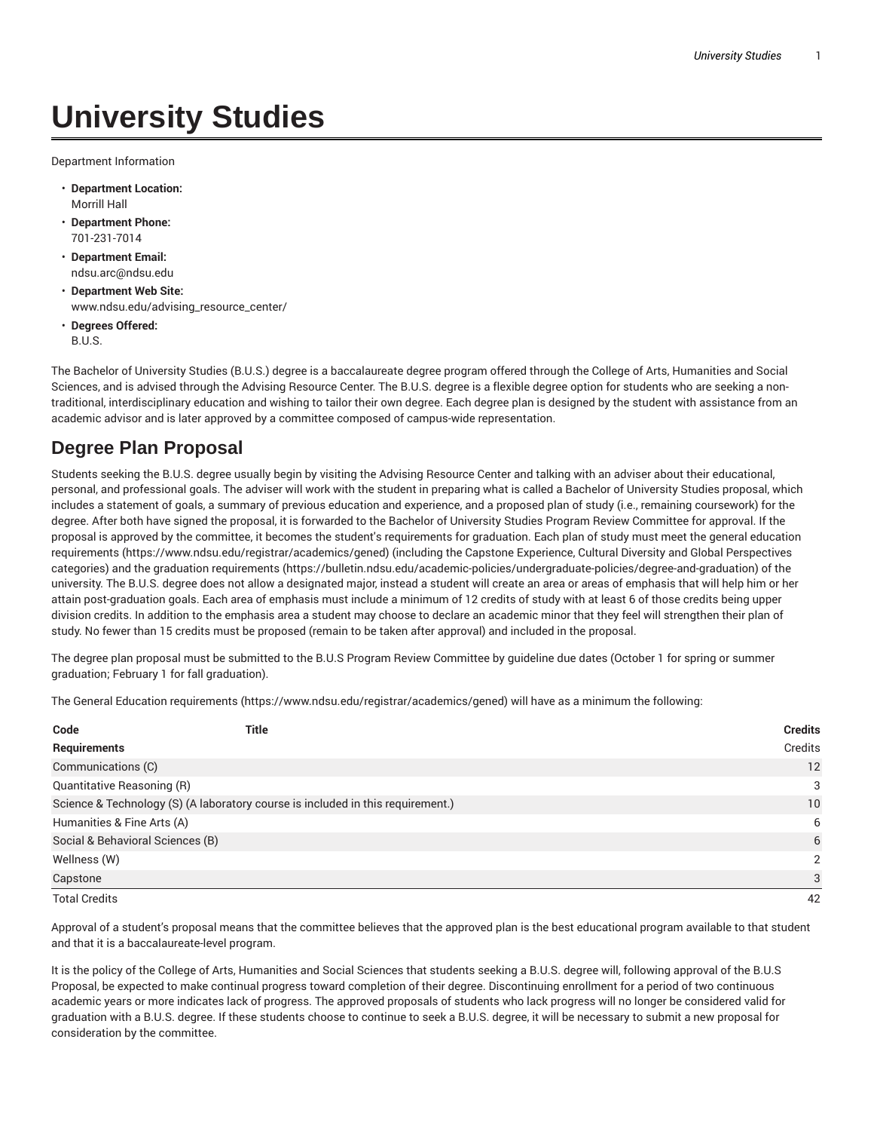## **University Studies**

Department Information

- **Department Location:** Morrill Hall
- **Department Phone:** 701-231-7014
- **Department Email:** ndsu.arc@ndsu.edu
- **Department Web Site:** www.ndsu.edu/advising\_resource\_center/
- **Degrees Offered:** B.U.S.

The Bachelor of University Studies (B.U.S.) degree is a baccalaureate degree program offered through the College of Arts, Humanities and Social Sciences, and is advised through the Advising Resource Center. The B.U.S. degree is a flexible degree option for students who are seeking a nontraditional, interdisciplinary education and wishing to tailor their own degree. Each degree plan is designed by the student with assistance from an academic advisor and is later approved by a committee composed of campus-wide representation.

## **Degree Plan Proposal**

Students seeking the B.U.S. degree usually begin by visiting the Advising Resource Center and talking with an adviser about their educational, personal, and professional goals. The adviser will work with the student in preparing what is called a Bachelor of University Studies proposal, which includes a statement of goals, a summary of previous education and experience, and a proposed plan of study (i.e., remaining coursework) for the degree. After both have signed the proposal, it is forwarded to the Bachelor of University Studies Program Review Committee for approval. If the proposal is approved by the committee, it becomes the student's requirements for graduation. Each plan of study must meet the general education requirements (https://www.ndsu.edu/registrar/academics/gened) (including the Capstone Experience, Cultural Diversity and Global Perspectives categories) and the graduation requirements (https://bulletin.ndsu.edu/academic-policies/undergraduate-policies/degree-and-graduation) of the university. The B.U.S. degree does not allow a designated major, instead a student will create an area or areas of emphasis that will help him or her attain post-graduation goals. Each area of emphasis must include a minimum of 12 credits of study with at least 6 of those credits being upper division credits. In addition to the emphasis area a student may choose to declare an academic minor that they feel will strengthen their plan of study. No fewer than 15 credits must be proposed (remain to be taken after approval) and included in the proposal.

The degree plan proposal must be submitted to the B.U.S Program Review Committee by guideline due dates (October 1 for spring or summer graduation; February 1 for fall graduation).

The General Education requirements (https://www.ndsu.edu/registrar/academics/gened) will have as a minimum the following:

| Code                                                                            | <b>Title</b> | <b>Credits</b> |
|---------------------------------------------------------------------------------|--------------|----------------|
| Requirements                                                                    |              | Credits        |
| Communications (C)                                                              |              | 12             |
| Quantitative Reasoning (R)                                                      |              | 3              |
| Science & Technology (S) (A laboratory course is included in this requirement.) |              | 10             |
| Humanities & Fine Arts (A)                                                      |              | 6              |
| Social & Behavioral Sciences (B)                                                |              | 6              |
| Wellness (W)                                                                    |              | $\mathcal{P}$  |
| Capstone                                                                        |              | 3              |
| <b>Total Credits</b>                                                            |              | 42             |

Approval of a student's proposal means that the committee believes that the approved plan is the best educational program available to that student and that it is a baccalaureate-level program.

It is the policy of the College of Arts, Humanities and Social Sciences that students seeking a B.U.S. degree will, following approval of the B.U.S Proposal, be expected to make continual progress toward completion of their degree. Discontinuing enrollment for a period of two continuous academic years or more indicates lack of progress. The approved proposals of students who lack progress will no longer be considered valid for graduation with a B.U.S. degree. If these students choose to continue to seek a B.U.S. degree, it will be necessary to submit a new proposal for consideration by the committee.